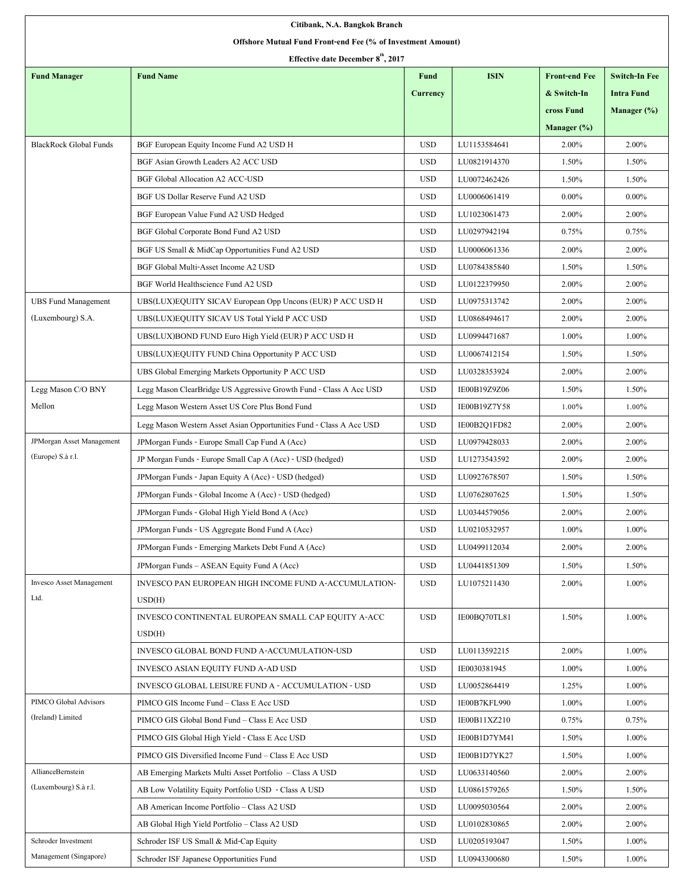| Citibank, N.A. Bangkok Branch                               |                                                                     |                 |              |                      |                      |  |  |  |  |  |
|-------------------------------------------------------------|---------------------------------------------------------------------|-----------------|--------------|----------------------|----------------------|--|--|--|--|--|
| Offshore Mutual Fund Front-end Fee (% of Investment Amount) |                                                                     |                 |              |                      |                      |  |  |  |  |  |
| Effective date December 8 <sup>th</sup> , 2017              |                                                                     |                 |              |                      |                      |  |  |  |  |  |
| <b>Fund Manager</b>                                         | <b>Fund Name</b>                                                    | <b>Fund</b>     | <b>ISIN</b>  | <b>Front-end Fee</b> | <b>Switch-In Fee</b> |  |  |  |  |  |
|                                                             |                                                                     | <b>Currency</b> |              | & Switch-In          | <b>Intra Fund</b>    |  |  |  |  |  |
|                                                             |                                                                     |                 |              | cross Fund           | Manager (%)          |  |  |  |  |  |
|                                                             |                                                                     |                 |              | Manager $(\%)$       |                      |  |  |  |  |  |
| <b>BlackRock Global Funds</b>                               | BGF European Equity Income Fund A2 USD H                            | <b>USD</b>      | LU1153584641 | 2.00%                | 2.00%                |  |  |  |  |  |
|                                                             | BGF Asian Growth Leaders A2 ACC USD                                 | <b>USD</b>      | LU0821914370 | 1.50%                | 1.50%                |  |  |  |  |  |
|                                                             | <b>BGF Global Allocation A2 ACC-USD</b>                             | <b>USD</b>      | LU0072462426 | 1.50%                | 1.50%                |  |  |  |  |  |
|                                                             | BGF US Dollar Reserve Fund A2 USD                                   | <b>USD</b>      | LU0006061419 | $0.00\%$             | $0.00\%$             |  |  |  |  |  |
|                                                             | BGF European Value Fund A2 USD Hedged                               | <b>USD</b>      | LU1023061473 | 2.00%                | 2.00%                |  |  |  |  |  |
|                                                             | BGF Global Corporate Bond Fund A2 USD                               | <b>USD</b>      | LU0297942194 | 0.75%                | 0.75%                |  |  |  |  |  |
|                                                             | BGF US Small & MidCap Opportunities Fund A2 USD                     | <b>USD</b>      | LU0006061336 | 2.00%                | 2.00%                |  |  |  |  |  |
|                                                             | BGF Global Multi-Asset Income A2 USD                                | <b>USD</b>      | LU0784385840 | 1.50%                | 1.50%                |  |  |  |  |  |
|                                                             | BGF World Healthscience Fund A2 USD                                 | <b>USD</b>      | LU0122379950 | 2.00%                | 2.00%                |  |  |  |  |  |
| <b>UBS Fund Management</b>                                  | UBS(LUX)EQUITY SICAV European Opp Uncons (EUR) P ACC USD H          | <b>USD</b>      | LU0975313742 | 2.00%                | 2.00%                |  |  |  |  |  |
| (Luxembourg) S.A.                                           | UBS(LUX)EQUITY SICAV US Total Yield P ACC USD                       | <b>USD</b>      | LU0868494617 | 2.00%                | 2.00%                |  |  |  |  |  |
|                                                             | UBS(LUX)BOND FUND Euro High Yield (EUR) P ACC USD H                 | <b>USD</b>      | LU0994471687 | 1.00%                | 1.00%                |  |  |  |  |  |
|                                                             | UBS(LUX)EQUITY FUND China Opportunity P ACC USD                     | <b>USD</b>      | LU0067412154 | 1.50%                | 1.50%                |  |  |  |  |  |
|                                                             | UBS Global Emerging Markets Opportunity P ACC USD                   | <b>USD</b>      | LU0328353924 | 2.00%                | 2.00%                |  |  |  |  |  |
| Legg Mason C/O BNY                                          | Legg Mason ClearBridge US Aggressive Growth Fund - Class A Acc USD  | <b>USD</b>      | IE00B19Z9Z06 | 1.50%                | 1.50%                |  |  |  |  |  |
| Mellon                                                      | Legg Mason Western Asset US Core Plus Bond Fund                     | <b>USD</b>      | IE00B19Z7Y58 | 1.00%                | $1.00\%$             |  |  |  |  |  |
|                                                             | Legg Mason Western Asset Asian Opportunities Fund - Class A Acc USD | <b>USD</b>      | IE00B2Q1FD82 | 2.00%                | 2.00%                |  |  |  |  |  |
| JPMorgan Asset Management                                   | JPM organ Funds - Europe Small Cap Fund A (Acc)                     | $_{\rm USD}$    | LU0979428033 | 2.00%                | 2.00%                |  |  |  |  |  |
| (Europe) S.à r.l.                                           | JP Morgan Funds - Europe Small Cap A (Acc) - USD (hedged)           | <b>USD</b>      | LU1273543592 | 2.00%                | 2.00%                |  |  |  |  |  |
|                                                             | JPMorgan Funds - Japan Equity A (Acc) - USD (hedged)                | <b>USD</b>      | LU0927678507 | 1.50%                | 1.50%                |  |  |  |  |  |
|                                                             | JPMorgan Funds - Global Income A (Acc) - USD (hedged)               | <b>USD</b>      | LU0762807625 | 1.50%                | 1.50%                |  |  |  |  |  |
|                                                             | JPMorgan Funds - Global High Yield Bond A (Acc)                     | <b>USD</b>      | LU0344579056 | 2.00%                | 2.00%                |  |  |  |  |  |
|                                                             | JPMorgan Funds - US Aggregate Bond Fund A (Acc)                     | <b>USD</b>      | LU0210532957 | 1.00%                | 1.00%                |  |  |  |  |  |
|                                                             | JPMorgan Funds - Emerging Markets Debt Fund A (Acc)                 | <b>USD</b>      | LU0499112034 | 2.00%                | 2.00%                |  |  |  |  |  |
|                                                             | JPMorgan Funds - ASEAN Equity Fund A (Acc)                          | <b>USD</b>      | LU0441851309 | 1.50%                | 1.50%                |  |  |  |  |  |
| <b>Invesco Asset Management</b>                             | INVESCO PAN EUROPEAN HIGH INCOME FUND A-ACCUMULATION-               | <b>USD</b>      | LU1075211430 | 2.00%                | 1.00%                |  |  |  |  |  |
| Ltd.                                                        | USD(H)                                                              |                 |              |                      |                      |  |  |  |  |  |
|                                                             | INVESCO CONTINENTAL EUROPEAN SMALL CAP EQUITY A-ACC                 | <b>USD</b>      | IE00BQ70TL81 | 1.50%                | 1.00%                |  |  |  |  |  |
|                                                             | USD(H)                                                              |                 |              |                      |                      |  |  |  |  |  |
|                                                             | INVESCO GLOBAL BOND FUND A-ACCUMULATION-USD                         | <b>USD</b>      | LU0113592215 | 2.00%                | 1.00%                |  |  |  |  |  |
|                                                             | INVESCO ASIAN EQUITY FUND A-AD USD                                  | <b>USD</b>      | IE0030381945 | 1.00%                | 1.00%                |  |  |  |  |  |
|                                                             | INVESCO GLOBAL LEISURE FUND A - ACCUMULATION - USD                  | <b>USD</b>      | LU0052864419 | 1.25%                | 1.00%                |  |  |  |  |  |
| PIMCO Global Advisors                                       | PIMCO GIS Income Fund - Class E Acc USD                             | <b>USD</b>      | IE00B7KFL990 | 1.00%                | 1.00%                |  |  |  |  |  |
| (Ireland) Limited                                           | PIMCO GIS Global Bond Fund - Class E Acc USD                        | <b>USD</b>      | IE00B11XZ210 | 0.75%                | 0.75%                |  |  |  |  |  |
|                                                             | PIMCO GIS Global High Yield - Class E Acc USD                       | <b>USD</b>      | IE00B1D7YM41 | 1.50%                | 1.00%                |  |  |  |  |  |
|                                                             | PIMCO GIS Diversified Income Fund - Class E Acc USD                 | <b>USD</b>      | IE00B1D7YK27 | 1.50%                | 1.00%                |  |  |  |  |  |
| AllianceBernstein                                           | AB Emerging Markets Multi Asset Portfolio - Class A USD             | <b>USD</b>      | LU0633140560 | 2.00%                | 2.00%                |  |  |  |  |  |
| (Luxembourg) S.à r.l.                                       | AB Low Volatility Equity Portfolio USD - Class A USD                | <b>USD</b>      | LU0861579265 | 1.50%                | 1.50%                |  |  |  |  |  |
|                                                             | AB American Income Portfolio - Class A2 USD                         | <b>USD</b>      | LU0095030564 | 2.00%                | 2.00%                |  |  |  |  |  |
|                                                             | AB Global High Yield Portfolio - Class A2 USD                       | <b>USD</b>      | LU0102830865 | 2.00%                | 2.00%                |  |  |  |  |  |
| Schroder Investment                                         | Schroder ISF US Small & Mid-Cap Equity                              | <b>USD</b>      | LU0205193047 | 1.50%                | 1.00%                |  |  |  |  |  |
| Management (Singapore)                                      | Schroder ISF Japanese Opportunities Fund                            | <b>USD</b>      | LU0943300680 | 1.50%                | 1.00%                |  |  |  |  |  |